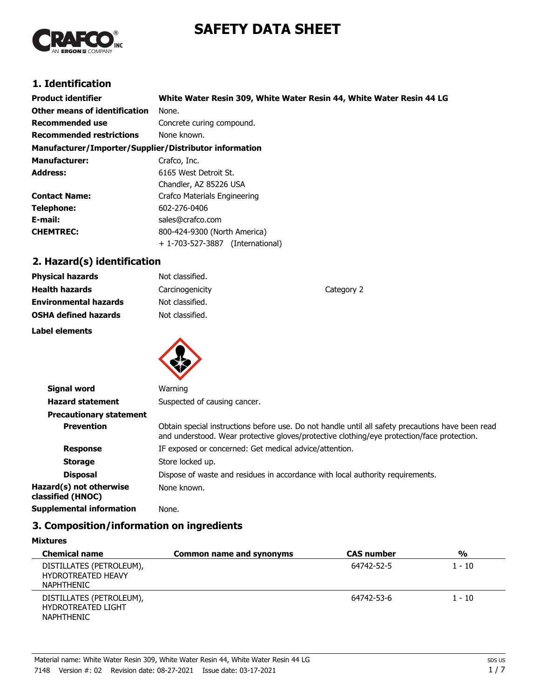# **SAFETY DATA SHEET**



## **1. Identification**

| <b>Product identifier</b>                              | White Water Resin 309, White Water Resin 44, White Water Resin 44 LG |  |
|--------------------------------------------------------|----------------------------------------------------------------------|--|
| <b>Other means of identification</b>                   | None.                                                                |  |
| <b>Recommended use</b>                                 | Concrete curing compound.                                            |  |
| <b>Recommended restrictions</b>                        | None known.                                                          |  |
| Manufacturer/Importer/Supplier/Distributor information |                                                                      |  |
| <b>Manufacturer:</b>                                   | Crafco, Inc.                                                         |  |
| <b>Address:</b>                                        | 6165 West Detroit St.                                                |  |
|                                                        | Chandler, AZ 85226 USA                                               |  |
| <b>Contact Name:</b>                                   | Crafco Materials Engineering                                         |  |
| <b>Telephone:</b>                                      | 602-276-0406                                                         |  |
| E-mail:                                                | sales@crafco.com                                                     |  |
| <b>CHEMTREC:</b>                                       | 800-424-9300 (North America)                                         |  |
|                                                        | + 1-703-527-3887<br>(International)                                  |  |

## **2. Hazard(s) identification**

| Label elements               |                 |            |
|------------------------------|-----------------|------------|
| <b>OSHA defined hazards</b>  | Not classified. |            |
| <b>Environmental hazards</b> | Not classified. |            |
| <b>Health hazards</b>        | Carcinogenicity | Category 2 |
| <b>Physical hazards</b>      | Not classified. |            |



| <b>Signal word</b>                           | Warning                                                                                                                                                                                         |
|----------------------------------------------|-------------------------------------------------------------------------------------------------------------------------------------------------------------------------------------------------|
| <b>Hazard statement</b>                      | Suspected of causing cancer.                                                                                                                                                                    |
| <b>Precautionary statement</b>               |                                                                                                                                                                                                 |
| <b>Prevention</b>                            | Obtain special instructions before use. Do not handle until all safety precautions have been read<br>and understood. Wear protective gloves/protective clothing/eye protection/face protection. |
| <b>Response</b>                              | IF exposed or concerned: Get medical advice/attention.                                                                                                                                          |
| <b>Storage</b>                               | Store locked up.                                                                                                                                                                                |
| <b>Disposal</b>                              | Dispose of waste and residues in accordance with local authority requirements.                                                                                                                  |
| Hazard(s) not otherwise<br>classified (HNOC) | None known.                                                                                                                                                                                     |
| Supplemental information                     | None.                                                                                                                                                                                           |

## **3. Composition/information on ingredients**

| <b>Mixtures</b> |
|-----------------|
|-----------------|

| <b>Chemical name</b>                                                       | Common name and synonyms | <b>CAS</b> number | $\frac{0}{0}$ |
|----------------------------------------------------------------------------|--------------------------|-------------------|---------------|
| DISTILLATES (PETROLEUM),<br><b>HYDROTREATED HEAVY</b><br><b>NAPHTHENIC</b> |                          | 64742-52-5        | $1 - 10$      |
| DISTILLATES (PETROLEUM),<br><b>HYDROTREATED LIGHT</b><br><b>NAPHTHENIC</b> |                          | 64742-53-6        | $1 - 10$      |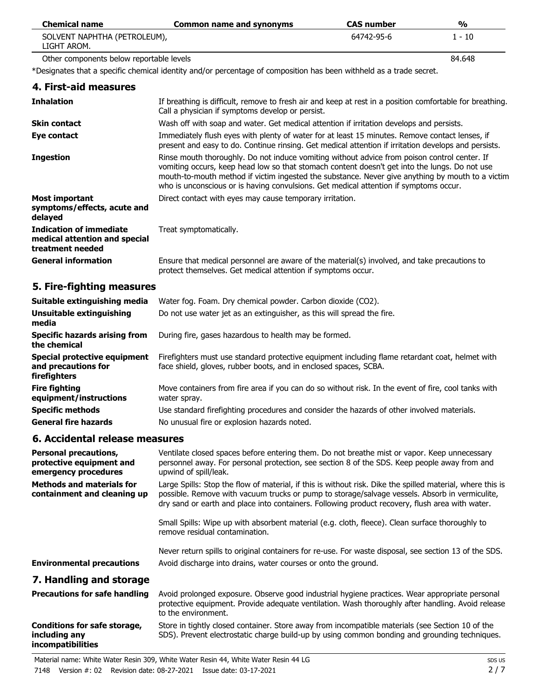| <b>Chemical name</b>                        | Common name and synonyms | <b>CAS</b> number | %      |
|---------------------------------------------|--------------------------|-------------------|--------|
| SOLVENT NAPHTHA (PETROLEUM),<br>LIGHT AROM. |                          | 64742-95-6        | 1 - 10 |
| Other components below reportable levels    |                          |                   | 84.648 |

\*Designates that a specific chemical identity and/or percentage of composition has been withheld as a trade secret.

| 4. First-aid measures                                                        |                                                                                                                                                                                                                                                                                                                                                                                            |
|------------------------------------------------------------------------------|--------------------------------------------------------------------------------------------------------------------------------------------------------------------------------------------------------------------------------------------------------------------------------------------------------------------------------------------------------------------------------------------|
| <b>Inhalation</b>                                                            | If breathing is difficult, remove to fresh air and keep at rest in a position comfortable for breathing.<br>Call a physician if symptoms develop or persist.                                                                                                                                                                                                                               |
| <b>Skin contact</b>                                                          | Wash off with soap and water. Get medical attention if irritation develops and persists.                                                                                                                                                                                                                                                                                                   |
| Eye contact                                                                  | Immediately flush eyes with plenty of water for at least 15 minutes. Remove contact lenses, if<br>present and easy to do. Continue rinsing. Get medical attention if irritation develops and persists.                                                                                                                                                                                     |
| <b>Ingestion</b>                                                             | Rinse mouth thoroughly. Do not induce vomiting without advice from poison control center. If<br>vomiting occurs, keep head low so that stomach content doesn't get into the lungs. Do not use<br>mouth-to-mouth method if victim ingested the substance. Never give anything by mouth to a victim<br>who is unconscious or is having convulsions. Get medical attention if symptoms occur. |
| <b>Most important</b><br>symptoms/effects, acute and<br>delayed              | Direct contact with eyes may cause temporary irritation.                                                                                                                                                                                                                                                                                                                                   |
| Indication of immediate<br>medical attention and special<br>treatment needed | Treat symptomatically.                                                                                                                                                                                                                                                                                                                                                                     |
| <b>General information</b>                                                   | Ensure that medical personnel are aware of the material(s) involved, and take precautions to<br>protect themselves. Get medical attention if symptoms occur.                                                                                                                                                                                                                               |
|                                                                              |                                                                                                                                                                                                                                                                                                                                                                                            |

## **5. Fire-fighting measures**

| Suitable extinguishing media                                        | Water fog. Foam. Dry chemical powder. Carbon dioxide (CO2).                                                                                                         |
|---------------------------------------------------------------------|---------------------------------------------------------------------------------------------------------------------------------------------------------------------|
| Unsuitable extinguishing<br>media                                   | Do not use water jet as an extinguisher, as this will spread the fire.                                                                                              |
| Specific hazards arising from<br>the chemical                       | During fire, gases hazardous to health may be formed.                                                                                                               |
| Special protective equipment<br>and precautions for<br>firefighters | Firefighters must use standard protective equipment including flame retardant coat, helmet with<br>face shield, gloves, rubber boots, and in enclosed spaces, SCBA. |
| <b>Fire fighting</b><br>equipment/instructions                      | Move containers from fire area if you can do so without risk. In the event of fire, cool tanks with<br>water spray.                                                 |
| <b>Specific methods</b>                                             | Use standard firefighting procedures and consider the hazards of other involved materials.                                                                          |
| <b>General fire hazards</b>                                         | No unusual fire or explosion hazards noted.                                                                                                                         |

### **6. Accidental release measures**

**incompatibilities**

| <b>Personal precautions,</b><br>protective equipment and<br>emergency procedures | Ventilate closed spaces before entering them. Do not breathe mist or vapor. Keep unnecessary<br>personnel away. For personal protection, see section 8 of the SDS. Keep people away from and<br>upwind of spill/leak.                                                                                           |
|----------------------------------------------------------------------------------|-----------------------------------------------------------------------------------------------------------------------------------------------------------------------------------------------------------------------------------------------------------------------------------------------------------------|
| <b>Methods and materials for</b><br>containment and cleaning up                  | Large Spills: Stop the flow of material, if this is without risk. Dike the spilled material, where this is<br>possible. Remove with vacuum trucks or pump to storage/salvage vessels. Absorb in vermiculite,<br>dry sand or earth and place into containers. Following product recovery, flush area with water. |
|                                                                                  | Small Spills: Wipe up with absorbent material (e.g. cloth, fleece). Clean surface thoroughly to<br>remove residual contamination.                                                                                                                                                                               |
| <b>Environmental precautions</b>                                                 | Never return spills to original containers for re-use. For waste disposal, see section 13 of the SDS.<br>Avoid discharge into drains, water courses or onto the ground.                                                                                                                                         |
| 7. Handling and storage                                                          |                                                                                                                                                                                                                                                                                                                 |
| <b>Precautions for safe handling</b>                                             | Avoid prolonged exposure. Observe good industrial hygiene practices. Wear appropriate personal<br>protective equipment. Provide adequate ventilation. Wash thoroughly after handling. Avoid release<br>to the environment.                                                                                      |
| <b>Conditions for safe storage,</b><br>including any                             | Store in tightly closed container. Store away from incompatible materials (see Section 10 of the<br>SDS). Prevent electrostatic charge build-up by using common bonding and grounding techniques.                                                                                                               |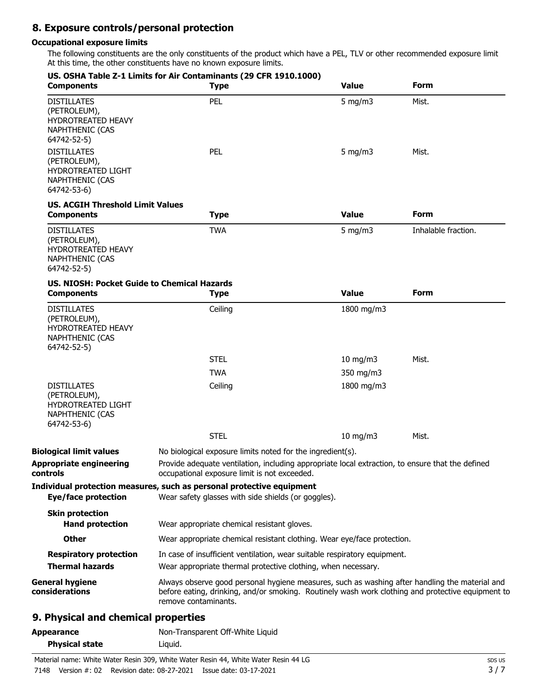## **8. Exposure controls/personal protection**

#### **Occupational exposure limits**

The following constituents are the only constituents of the product which have a PEL, TLV or other recommended exposure limit. At this time, the other constituents have no known exposure limits.

| <b>Components</b>                                                                                        | US. OSHA Table Z-1 Limits for Air Contaminants (29 CFR 1910.1000)<br><b>Type</b>                                                                                                                                            | <b>Value</b>     | Form                |
|----------------------------------------------------------------------------------------------------------|-----------------------------------------------------------------------------------------------------------------------------------------------------------------------------------------------------------------------------|------------------|---------------------|
| <b>DISTILLATES</b><br>(PETROLEUM),<br><b>HYDROTREATED HEAVY</b><br><b>NAPHTHENIC (CAS</b><br>64742-52-5) | <b>PEL</b>                                                                                                                                                                                                                  | $5 \text{ mg/m}$ | Mist.               |
| <b>DISTILLATES</b><br>(PETROLEUM),<br>HYDROTREATED LIGHT<br><b>NAPHTHENIC (CAS</b><br>64742-53-6)        | PEL                                                                                                                                                                                                                         | 5 mg/m $3$       | Mist.               |
| <b>US. ACGIH Threshold Limit Values</b>                                                                  |                                                                                                                                                                                                                             |                  |                     |
| <b>Components</b>                                                                                        | <b>Type</b>                                                                                                                                                                                                                 | <b>Value</b>     | <b>Form</b>         |
| <b>DISTILLATES</b><br>(PETROLEUM),<br><b>HYDROTREATED HEAVY</b><br>NAPHTHENIC (CAS<br>64742-52-5)        | <b>TWA</b>                                                                                                                                                                                                                  | 5 mg/m $3$       | Inhalable fraction. |
| US. NIOSH: Pocket Guide to Chemical Hazards<br><b>Components</b>                                         | <b>Type</b>                                                                                                                                                                                                                 | <b>Value</b>     | <b>Form</b>         |
| <b>DISTILLATES</b><br>(PETROLEUM),<br>HYDROTREATED HEAVY<br><b>NAPHTHENIC (CAS</b><br>64742-52-5)        | Ceiling                                                                                                                                                                                                                     | 1800 mg/m3       |                     |
|                                                                                                          | <b>STEL</b>                                                                                                                                                                                                                 | 10 mg/m $3$      | Mist.               |
|                                                                                                          | <b>TWA</b>                                                                                                                                                                                                                  | 350 mg/m3        |                     |
| <b>DISTILLATES</b><br>(PETROLEUM),<br>HYDROTREATED LIGHT<br><b>NAPHTHENIC (CAS</b><br>64742-53-6)        | Ceiling                                                                                                                                                                                                                     | 1800 mg/m3       |                     |
|                                                                                                          | <b>STEL</b>                                                                                                                                                                                                                 | $10$ mg/m $3$    | Mist.               |
| <b>Biological limit values</b>                                                                           | No biological exposure limits noted for the ingredient(s).                                                                                                                                                                  |                  |                     |
| <b>Appropriate engineering</b><br>controls                                                               | Provide adequate ventilation, including appropriate local extraction, to ensure that the defined<br>occupational exposure limit is not exceeded.                                                                            |                  |                     |
| <b>Eye/face protection</b>                                                                               | Individual protection measures, such as personal protective equipment<br>Wear safety glasses with side shields (or goggles).                                                                                                |                  |                     |
| <b>Skin protection</b><br><b>Hand protection</b>                                                         | Wear appropriate chemical resistant gloves.                                                                                                                                                                                 |                  |                     |
| <b>Other</b>                                                                                             | Wear appropriate chemical resistant clothing. Wear eye/face protection.                                                                                                                                                     |                  |                     |
| <b>Respiratory protection</b>                                                                            | In case of insufficient ventilation, wear suitable respiratory equipment.                                                                                                                                                   |                  |                     |
| <b>Thermal hazards</b>                                                                                   | Wear appropriate thermal protective clothing, when necessary.                                                                                                                                                               |                  |                     |
| <b>General hygiene</b><br>considerations                                                                 | Always observe good personal hygiene measures, such as washing after handling the material and<br>before eating, drinking, and/or smoking. Routinely wash work clothing and protective equipment to<br>remove contaminants. |                  |                     |
| 9. Physical and chemical properties                                                                      |                                                                                                                                                                                                                             |                  |                     |

## Appearance Non-Transparent Off-White Liquid **Physical state Liquid.**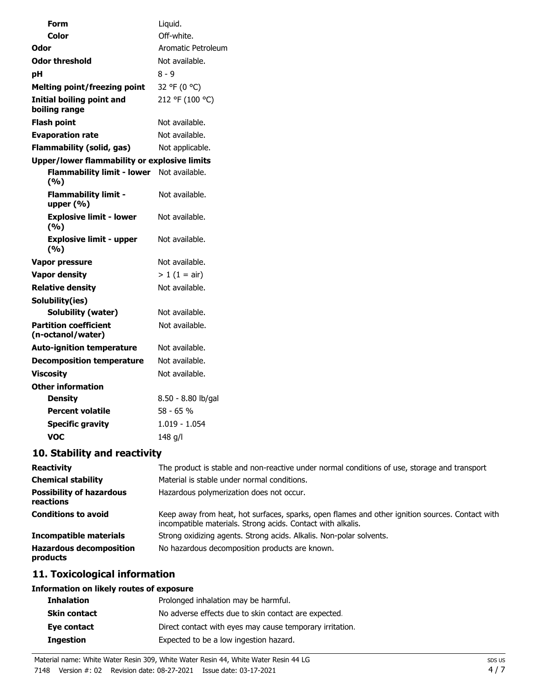| <b>Reactivity</b>                            | The product is stable and non-reactive under normal conditions of use, storage and transport                                                                   |
|----------------------------------------------|----------------------------------------------------------------------------------------------------------------------------------------------------------------|
| <b>Chemical stability</b>                    | Material is stable under normal conditions.                                                                                                                    |
| <b>Possibility of hazardous</b><br>reactions | Hazardous polymerization does not occur.                                                                                                                       |
| <b>Conditions to avoid</b>                   | Keep away from heat, hot surfaces, sparks, open flames and other ignition sources. Contact with<br>incompatible materials. Strong acids. Contact with alkalis. |
| <b>Incompatible materials</b>                | Strong oxidizing agents. Strong acids. Alkalis. Non-polar solvents.                                                                                            |
| <b>Hazardous decomposition</b><br>products   | No hazardous decomposition products are known.                                                                                                                 |

## **11. Toxicological information**

## **Information on likely routes of exposure**

| <b>Inhalation</b>   | Prolonged inhalation may be harmful.                     |
|---------------------|----------------------------------------------------------|
| <b>Skin contact</b> | No adverse effects due to skin contact are expected.     |
| Eye contact         | Direct contact with eyes may cause temporary irritation. |
| <b>Ingestion</b>    | Expected to be a low ingestion hazard.                   |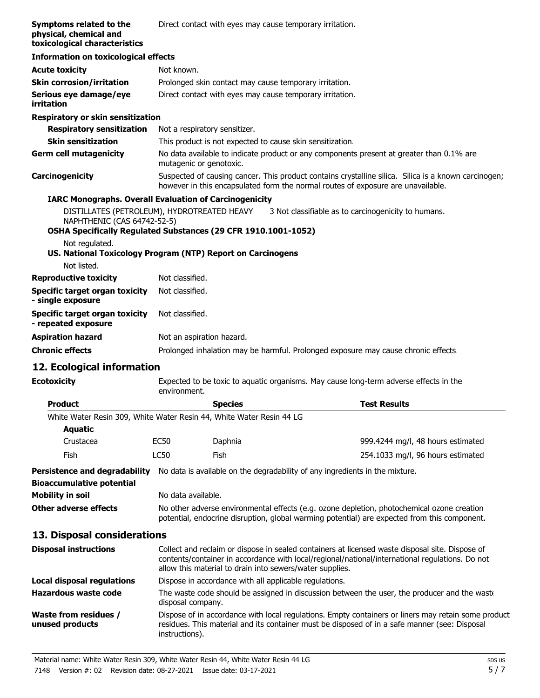| Symptoms related to the<br>physical, chemical and<br>toxicological characteristics |                                                                                                                                                                                                                                                                | Direct contact with eyes may cause temporary irritation.                                                                                                                                   |                                                                                                                                                                                                      |
|------------------------------------------------------------------------------------|----------------------------------------------------------------------------------------------------------------------------------------------------------------------------------------------------------------------------------------------------------------|--------------------------------------------------------------------------------------------------------------------------------------------------------------------------------------------|------------------------------------------------------------------------------------------------------------------------------------------------------------------------------------------------------|
| <b>Information on toxicological effects</b>                                        |                                                                                                                                                                                                                                                                |                                                                                                                                                                                            |                                                                                                                                                                                                      |
| <b>Acute toxicity</b>                                                              | Not known.                                                                                                                                                                                                                                                     |                                                                                                                                                                                            |                                                                                                                                                                                                      |
| <b>Skin corrosion/irritation</b>                                                   |                                                                                                                                                                                                                                                                | Prolonged skin contact may cause temporary irritation.                                                                                                                                     |                                                                                                                                                                                                      |
| Serious eye damage/eye<br>irritation                                               |                                                                                                                                                                                                                                                                | Direct contact with eyes may cause temporary irritation.                                                                                                                                   |                                                                                                                                                                                                      |
| Respiratory or skin sensitization                                                  |                                                                                                                                                                                                                                                                |                                                                                                                                                                                            |                                                                                                                                                                                                      |
| <b>Respiratory sensitization</b>                                                   | Not a respiratory sensitizer.                                                                                                                                                                                                                                  |                                                                                                                                                                                            |                                                                                                                                                                                                      |
| <b>Skin sensitization</b>                                                          |                                                                                                                                                                                                                                                                | This product is not expected to cause skin sensitization.                                                                                                                                  |                                                                                                                                                                                                      |
| <b>Germ cell mutagenicity</b>                                                      | mutagenic or genotoxic.                                                                                                                                                                                                                                        |                                                                                                                                                                                            | No data available to indicate product or any components present at greater than 0.1% are                                                                                                             |
| Carcinogenicity                                                                    |                                                                                                                                                                                                                                                                |                                                                                                                                                                                            | Suspected of causing cancer. This product contains crystalline silica. Silica is a known carcinogen;<br>however in this encapsulated form the normal routes of exposure are unavailable.             |
| <b>IARC Monographs. Overall Evaluation of Carcinogenicity</b>                      |                                                                                                                                                                                                                                                                |                                                                                                                                                                                            |                                                                                                                                                                                                      |
| DISTILLATES (PETROLEUM), HYDROTREATED HEAVY<br>NAPHTHENIC (CAS 64742-52-5)         |                                                                                                                                                                                                                                                                |                                                                                                                                                                                            | 3 Not classifiable as to carcinogenicity to humans.                                                                                                                                                  |
| OSHA Specifically Regulated Substances (29 CFR 1910.1001-1052)                     |                                                                                                                                                                                                                                                                |                                                                                                                                                                                            |                                                                                                                                                                                                      |
| Not regulated.<br>US. National Toxicology Program (NTP) Report on Carcinogens      |                                                                                                                                                                                                                                                                |                                                                                                                                                                                            |                                                                                                                                                                                                      |
| Not listed.                                                                        |                                                                                                                                                                                                                                                                |                                                                                                                                                                                            |                                                                                                                                                                                                      |
| <b>Reproductive toxicity</b>                                                       | Not classified.                                                                                                                                                                                                                                                |                                                                                                                                                                                            |                                                                                                                                                                                                      |
| <b>Specific target organ toxicity</b><br>- single exposure                         | Not classified.                                                                                                                                                                                                                                                |                                                                                                                                                                                            |                                                                                                                                                                                                      |
| <b>Specific target organ toxicity</b><br>- repeated exposure                       | Not classified.                                                                                                                                                                                                                                                |                                                                                                                                                                                            |                                                                                                                                                                                                      |
| <b>Aspiration hazard</b>                                                           | Not an aspiration hazard.                                                                                                                                                                                                                                      |                                                                                                                                                                                            |                                                                                                                                                                                                      |
| <b>Chronic effects</b>                                                             |                                                                                                                                                                                                                                                                |                                                                                                                                                                                            | Prolonged inhalation may be harmful. Prolonged exposure may cause chronic effects.                                                                                                                   |
| 12. Ecological information                                                         |                                                                                                                                                                                                                                                                |                                                                                                                                                                                            |                                                                                                                                                                                                      |
| <b>Ecotoxicity</b>                                                                 | environment.                                                                                                                                                                                                                                                   | Expected to be toxic to aquatic organisms. May cause long-term adverse effects in the                                                                                                      |                                                                                                                                                                                                      |
| <b>Product</b>                                                                     |                                                                                                                                                                                                                                                                | <b>Species</b>                                                                                                                                                                             | <b>Test Results</b>                                                                                                                                                                                  |
| White Water Resin 309, White Water Resin 44, White Water Resin 44 LG               |                                                                                                                                                                                                                                                                |                                                                                                                                                                                            |                                                                                                                                                                                                      |
| <b>Aquatic</b>                                                                     |                                                                                                                                                                                                                                                                |                                                                                                                                                                                            |                                                                                                                                                                                                      |
| Crustacea                                                                          | EC <sub>50</sub>                                                                                                                                                                                                                                               | Daphnia                                                                                                                                                                                    | 999.4244 mg/l, 48 hours estimated                                                                                                                                                                    |
| Fish                                                                               | LC50                                                                                                                                                                                                                                                           | Fish                                                                                                                                                                                       | 254.1033 mg/l, 96 hours estimated                                                                                                                                                                    |
| <b>Persistence and degradability</b>                                               |                                                                                                                                                                                                                                                                |                                                                                                                                                                                            | No data is available on the degradability of any ingredients in the mixture.                                                                                                                         |
| <b>Bioaccumulative potential</b>                                                   |                                                                                                                                                                                                                                                                |                                                                                                                                                                                            |                                                                                                                                                                                                      |
| <b>Mobility in soil</b>                                                            | No data available.                                                                                                                                                                                                                                             |                                                                                                                                                                                            |                                                                                                                                                                                                      |
| <b>Other adverse effects</b>                                                       |                                                                                                                                                                                                                                                                | No other adverse environmental effects (e.g. ozone depletion, photochemical ozone creation<br>potential, endocrine disruption, global warming potential) are expected from this component. |                                                                                                                                                                                                      |
| 13. Disposal considerations                                                        |                                                                                                                                                                                                                                                                |                                                                                                                                                                                            |                                                                                                                                                                                                      |
| <b>Disposal instructions</b>                                                       | Collect and reclaim or dispose in sealed containers at licensed waste disposal site. Dispose of<br>contents/container in accordance with local/regional/national/international regulations. Do not<br>allow this material to drain into sewers/water supplies. |                                                                                                                                                                                            |                                                                                                                                                                                                      |
| <b>Local disposal regulations</b>                                                  |                                                                                                                                                                                                                                                                | Dispose in accordance with all applicable regulations.                                                                                                                                     |                                                                                                                                                                                                      |
| <b>Hazardous waste code</b>                                                        | disposal company.                                                                                                                                                                                                                                              |                                                                                                                                                                                            | The waste code should be assigned in discussion between the user, the producer and the wast«                                                                                                         |
| <b>Waste from residues /</b><br>unused products                                    | instructions).                                                                                                                                                                                                                                                 |                                                                                                                                                                                            | Dispose of in accordance with local regulations. Empty containers or liners may retain some product<br>residues. This material and its container must be disposed of in a safe manner (see: Disposal |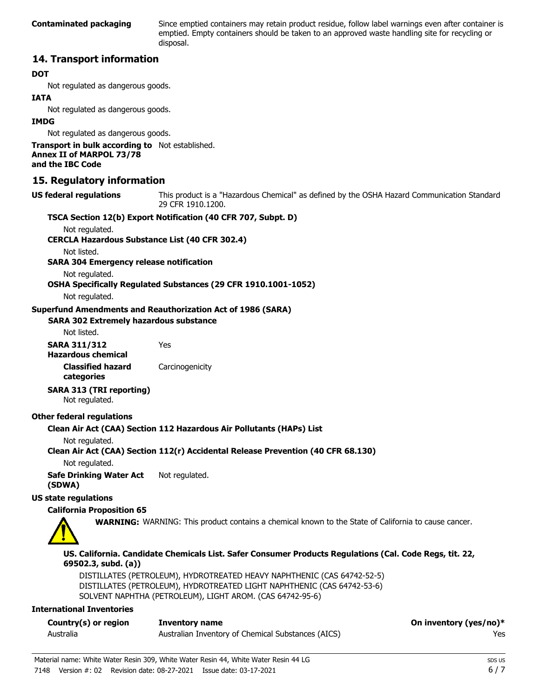Since emptied containers may retain product residue, follow label warnings even after container is emptied. Empty containers should be taken to an approved waste handling site for recycling or disposal.

### **14. Transport information**

#### **DOT**

Not regulated as dangerous goods.

#### **IATA**

Not regulated as dangerous goods.

#### **IMDG**

Not regulated as dangerous goods.

**Transport in bulk according to** Not established. **Annex II of MARPOL 73/78 and the IBC Code**

#### **15. Regulatory information**

This product is a "Hazardous Chemical" as defined by the OSHA Hazard Communication Standard, 29 CFR 1910.1200. **US federal regulations**

#### **TSCA Section 12(b) Export Notification (40 CFR 707, Subpt. D)**

Not regulated.

**CERCLA Hazardous Substance List (40 CFR 302.4)**

Not listed.

**SARA 304 Emergency release notification**

Not regulated.

**OSHA Specifically Regulated Substances (29 CFR 1910.1001-1052)**

Not regulated.

#### **Superfund Amendments and Reauthorization Act of 1986 (SARA)**

#### **SARA 302 Extremely hazardous substance**

Not listed.

**SARA 311/312** Yes **Hazardous chemical**

**Classified hazard** Carcinogenicity **categories**

**SARA 313 (TRI reporting)**

Not regulated.

#### **Other federal regulations**

#### **Clean Air Act (CAA) Section 112 Hazardous Air Pollutants (HAPs) List**

Not regulated.

#### **Clean Air Act (CAA) Section 112(r) Accidental Release Prevention (40 CFR 68.130)**

Not regulated.

**Safe Drinking Water Act** Not regulated. **(SDWA)**

#### **US state regulations**

#### **California Proposition 65**



**WARNING:** WARNING: This product contains a chemical known to the State of California to cause cancer.

**US. California. Candidate Chemicals List. Safer Consumer Products Regulations (Cal. Code Regs, tit. 22, 69502.3, subd. (a))**

DISTILLATES (PETROLEUM), HYDROTREATED HEAVY NAPHTHENIC (CAS 64742-52-5) DISTILLATES (PETROLEUM), HYDROTREATED LIGHT NAPHTHENIC (CAS 64742-53-6) SOLVENT NAPHTHA (PETROLEUM), LIGHT AROM. (CAS 64742-95-6)

#### **International Inventories**

| Country(s) or region | Inventory name                                     | On inventory (yes/no)* |
|----------------------|----------------------------------------------------|------------------------|
| Australia            | Australian Inventory of Chemical Substances (AICS) | Yes                    |